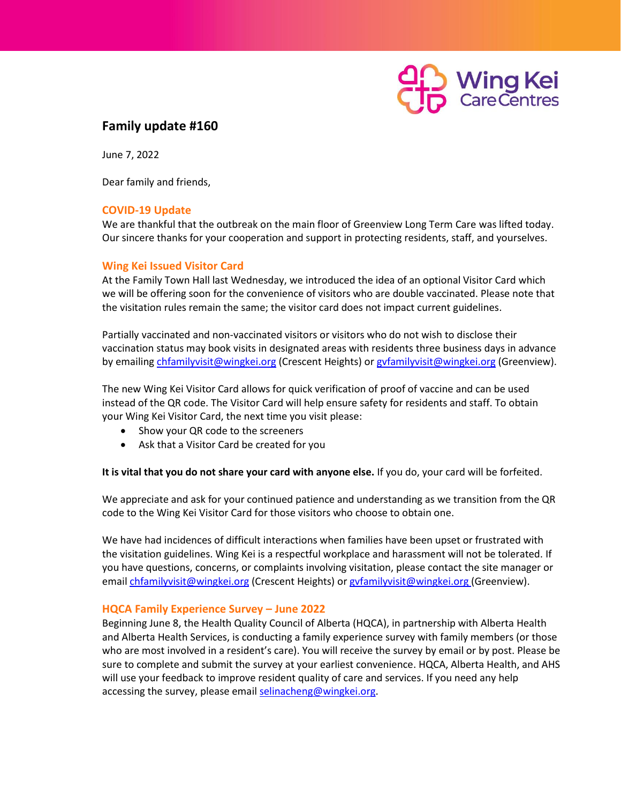

# **Family update #160**

June 7, 2022

Dear family and friends,

## **COVID-19 Update**

We are thankful that the outbreak on the main floor of Greenview Long Term Care was lifted today. Our sincere thanks for your cooperation and support in protecting residents, staff, and yourselves.

## **Wing Kei Issued Visitor Card**

At the Family Town Hall last Wednesday, we introduced the idea of an optional Visitor Card which we will be offering soon for the convenience of visitors who are double vaccinated. Please note that the visitation rules remain the same; the visitor card does not impact current guidelines.

Partially vaccinated and non-vaccinated visitors or visitors who do not wish to disclose their vaccination status may book visits in designated areas with residents three business days in advance by emailing [chfamilyvisit@wingkei.org](mailto:chfamilyvisit@wingkei.org) (Crescent Heights) or gyfamilyvisit@wingkei.org (Greenview).

The new Wing Kei Visitor Card allows for quick verification of proof of vaccine and can be used instead of the QR code. The Visitor Card will help ensure safety for residents and staff. To obtain your Wing Kei Visitor Card, the next time you visit please:

- Show your QR code to the screeners
- Ask that a Visitor Card be created for you

**It is vital that you do not share your card with anyone else.** If you do, your card will be forfeited.

We appreciate and ask for your continued patience and understanding as we transition from the QR code to the Wing Kei Visitor Card for those visitors who choose to obtain one.

We have had incidences of difficult interactions when families have been upset or frustrated with the visitation guidelines. Wing Kei is a respectful workplace and harassment will not be tolerated. If you have questions, concerns, or complaints involving visitation, please contact the site manager or email [chfamilyvisit@wingkei.org](mailto:chfamilyvisit@wingkei.org) (Crescent Heights) or gyfamilyvisit@wingkei.org (Greenview).

## **HQCA Family Experience Survey – June 2022**

Beginning June 8, the Health Quality Council of Alberta (HQCA), in partnership with Alberta Health and Alberta Health Services, is conducting a family experience survey with family members (or those who are most involved in a resident's care). You will receive the survey by email or by post. Please be sure to complete and submit the survey at your earliest convenience. HQCA, Alberta Health, and AHS will use your feedback to improve resident quality of care and services. If you need any help accessing the survey, please email [selinacheng@wingkei.org.](mailto:selinacheng@wingkei.org)